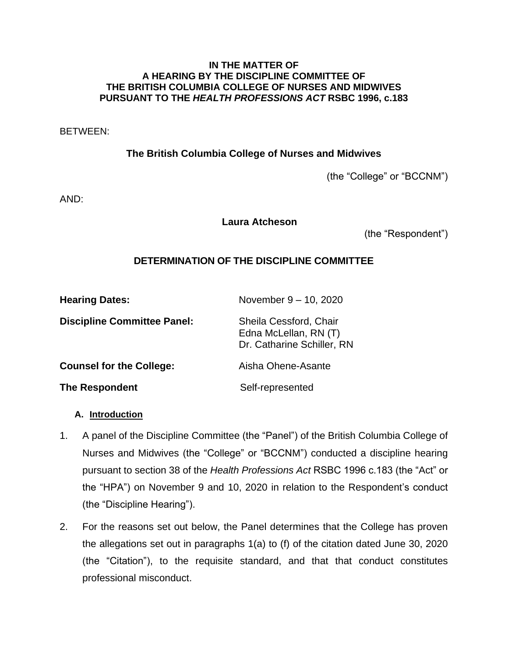### **IN THE MATTER OF A HEARING BY THE DISCIPLINE COMMITTEE OF THE BRITISH COLUMBIA COLLEGE OF NURSES AND MIDWIVES PURSUANT TO THE** *HEALTH PROFESSIONS ACT* **RSBC 1996, c.183**

BETWEEN:

**The British Columbia College of Nurses and Midwives**

(the "College" or "BCCNM")

AND:

## **Laura Atcheson**

(the "Respondent")

# **DETERMINATION OF THE DISCIPLINE COMMITTEE**

| <b>Hearing Dates:</b>              | November 9 - 10, 2020                                                         |
|------------------------------------|-------------------------------------------------------------------------------|
| <b>Discipline Committee Panel:</b> | Sheila Cessford, Chair<br>Edna McLellan, RN (T)<br>Dr. Catharine Schiller, RN |
| <b>Counsel for the College:</b>    | Aisha Ohene-Asante                                                            |
| <b>The Respondent</b>              | Self-represented                                                              |

## **A. Introduction**

- 1. A panel of the Discipline Committee (the "Panel") of the British Columbia College of Nurses and Midwives (the "College" or "BCCNM") conducted a discipline hearing pursuant to section 38 of the *Health Professions Act* RSBC 1996 c.183 (the "Act" or the "HPA") on November 9 and 10, 2020 in relation to the Respondent's conduct (the "Discipline Hearing").
- 2. For the reasons set out below, the Panel determines that the College has proven the allegations set out in paragraphs 1(a) to (f) of the citation dated June 30, 2020 (the "Citation"), to the requisite standard, and that that conduct constitutes professional misconduct.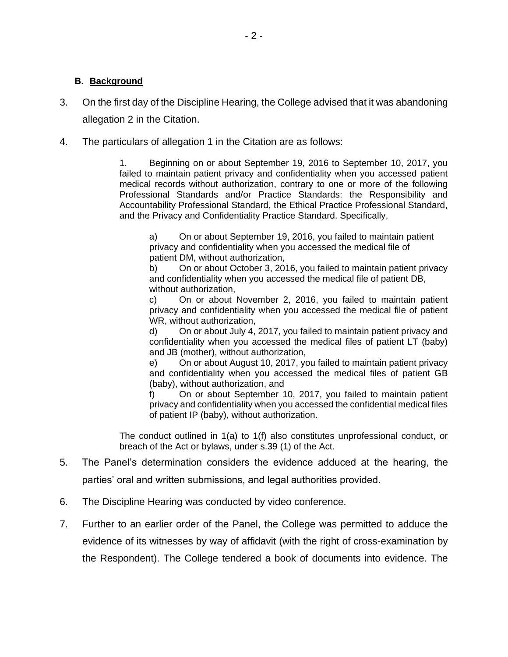### **B. Background**

- 3. On the first day of the Discipline Hearing, the College advised that it was abandoning allegation 2 in the Citation.
- 4. The particulars of allegation 1 in the Citation are as follows:

1. Beginning on or about September 19, 2016 to September 10, 2017, you failed to maintain patient privacy and confidentiality when you accessed patient medical records without authorization, contrary to one or more of the following Professional Standards and/or Practice Standards: the Responsibility and Accountability Professional Standard, the Ethical Practice Professional Standard, and the Privacy and Confidentiality Practice Standard. Specifically,

a) On or about September 19, 2016, you failed to maintain patient privacy and confidentiality when you accessed the medical file of patient DM, without authorization,

b) On or about October 3, 2016, you failed to maintain patient privacy and confidentiality when you accessed the medical file of patient DB, without authorization,

c) On or about November 2, 2016, you failed to maintain patient privacy and confidentiality when you accessed the medical file of patient WR, without authorization,

d) On or about July 4, 2017, you failed to maintain patient privacy and confidentiality when you accessed the medical files of patient LT (baby) and JB (mother), without authorization,

e) On or about August 10, 2017, you failed to maintain patient privacy and confidentiality when you accessed the medical files of patient GB (baby), without authorization, and

f) On or about September 10, 2017, you failed to maintain patient privacy and confidentiality when you accessed the confidential medical files of patient IP (baby), without authorization.

The conduct outlined in 1(a) to 1(f) also constitutes unprofessional conduct, or breach of the Act or bylaws, under s.39 (1) of the Act.

- 5. The Panel's determination considers the evidence adduced at the hearing, the parties' oral and written submissions, and legal authorities provided.
- 6. The Discipline Hearing was conducted by video conference.
- 7. Further to an earlier order of the Panel, the College was permitted to adduce the evidence of its witnesses by way of affidavit (with the right of cross-examination by the Respondent). The College tendered a book of documents into evidence. The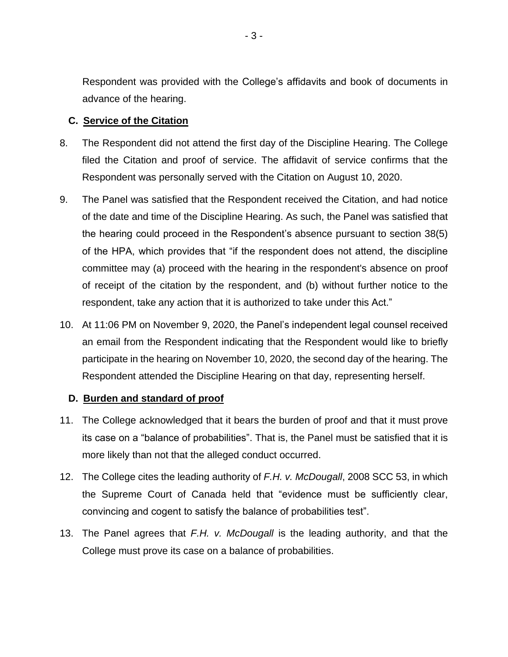Respondent was provided with the College's affidavits and book of documents in advance of the hearing.

## **C. Service of the Citation**

- 8. The Respondent did not attend the first day of the Discipline Hearing. The College filed the Citation and proof of service. The affidavit of service confirms that the Respondent was personally served with the Citation on August 10, 2020.
- 9. The Panel was satisfied that the Respondent received the Citation, and had notice of the date and time of the Discipline Hearing. As such, the Panel was satisfied that the hearing could proceed in the Respondent's absence pursuant to section 38(5) of the HPA, which provides that "if the respondent does not attend, the discipline committee may (a) proceed with the hearing in the respondent's absence on proof of receipt of the citation by the respondent, and (b) without further notice to the respondent, take any action that it is authorized to take under this Act."
- 10. At 11:06 PM on November 9, 2020, the Panel's independent legal counsel received an email from the Respondent indicating that the Respondent would like to briefly participate in the hearing on November 10, 2020, the second day of the hearing. The Respondent attended the Discipline Hearing on that day, representing herself.

## **D. Burden and standard of proof**

- 11. The College acknowledged that it bears the burden of proof and that it must prove its case on a "balance of probabilities". That is, the Panel must be satisfied that it is more likely than not that the alleged conduct occurred.
- 12. The College cites the leading authority of *F.H. v. McDougall*, 2008 SCC 53, in which the Supreme Court of Canada held that "evidence must be sufficiently clear, convincing and cogent to satisfy the balance of probabilities test".
- 13. The Panel agrees that *F.H. v. McDougall* is the leading authority, and that the College must prove its case on a balance of probabilities.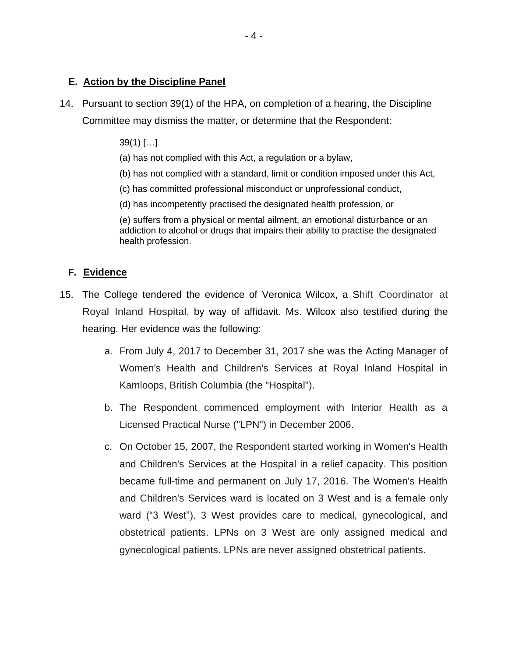# **E. Action by the Discipline Panel**

- 14. Pursuant to section 39(1) of the HPA, on completion of a hearing, the Discipline Committee may dismiss the matter, or determine that the Respondent:
	- 39(1) […]
	- (a) has not complied with this Act, a regulation or a bylaw,
	- (b) has not complied with a standard, limit or condition imposed under this Act,
	- (c) has committed professional misconduct or unprofessional conduct,
	- (d) has incompetently practised the designated health profession, or

(e) suffers from a physical or mental ailment, an emotional disturbance or an addiction to alcohol or drugs that impairs their ability to practise the designated health profession.

## **F. Evidence**

- 15. The College tendered the evidence of Veronica Wilcox, a Shift Coordinator at Royal Inland Hospital, by way of affidavit. Ms. Wilcox also testified during the hearing. Her evidence was the following:
	- a. From July 4, 2017 to December 31, 2017 she was the Acting Manager of Women's Health and Children's Services at Royal Inland Hospital in Kamloops, British Columbia (the "Hospital").
	- b. The Respondent commenced employment with Interior Health as a Licensed Practical Nurse ("LPN") in December 2006.
	- c. On October 15, 2007, the Respondent started working in Women's Health and Children's Services at the Hospital in a relief capacity. This position became full-time and permanent on July 17, 2016. The Women's Health and Children's Services ward is located on 3 West and is a female only ward ("3 West"). 3 West provides care to medical, gynecological, and obstetrical patients. LPNs on 3 West are only assigned medical and gynecological patients. LPNs are never assigned obstetrical patients.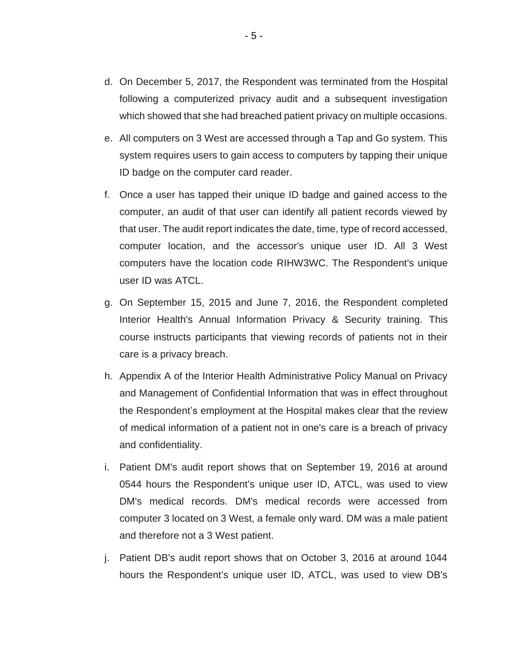- d. On December 5, 2017, the Respondent was terminated from the Hospital following a computerized privacy audit and a subsequent investigation which showed that she had breached patient privacy on multiple occasions.
- e. All computers on 3 West are accessed through a Tap and Go system. This system requires users to gain access to computers by tapping their unique ID badge on the computer card reader.
- f. Once a user has tapped their unique ID badge and gained access to the computer, an audit of that user can identify all patient records viewed by that user. The audit report indicates the date, time, type of record accessed, computer location, and the accessor's unique user ID. All 3 West computers have the location code RIHW3WC. The Respondent's unique user ID was ATCL.
- g. On September 15, 2015 and June 7, 2016, the Respondent completed Interior Health's Annual Information Privacy & Security training. This course instructs participants that viewing records of patients not in their care is a privacy breach.
- h. Appendix A of the Interior Health Administrative Policy Manual on Privacy and Management of Confidential Information that was in effect throughout the Respondent's employment at the Hospital makes clear that the review of medical information of a patient not in one's care is a breach of privacy and confidentiality.
- i. Patient DM's audit report shows that on September 19, 2016 at around 0544 hours the Respondent's unique user ID, ATCL, was used to view DM's medical records. DM's medical records were accessed from computer 3 located on 3 West, a female only ward. DM was a male patient and therefore not a 3 West patient.
- j. Patient DB's audit report shows that on October 3, 2016 at around 1044 hours the Respondent's unique user ID, ATCL, was used to view DB's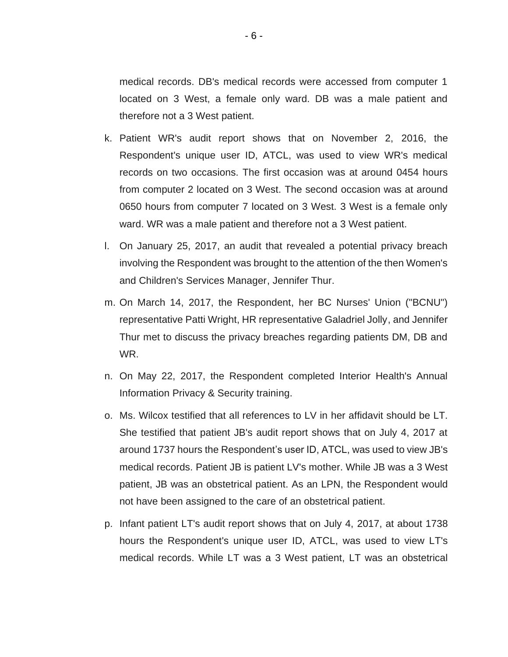medical records. DB's medical records were accessed from computer 1 located on 3 West, a female only ward. DB was a male patient and therefore not a 3 West patient.

- k. Patient WR's audit report shows that on November 2, 2016, the Respondent's unique user ID, ATCL, was used to view WR's medical records on two occasions. The first occasion was at around 0454 hours from computer 2 located on 3 West. The second occasion was at around 0650 hours from computer 7 located on 3 West. 3 West is a female only ward. WR was a male patient and therefore not a 3 West patient.
- l. On January 25, 2017, an audit that revealed a potential privacy breach involving the Respondent was brought to the attention of the then Women's and Children's Services Manager, Jennifer Thur.
- m. On March 14, 2017, the Respondent, her BC Nurses' Union ("BCNU") representative Patti Wright, HR representative Galadriel Jolly, and Jennifer Thur met to discuss the privacy breaches regarding patients DM, DB and WR.
- n. On May 22, 2017, the Respondent completed Interior Health's Annual Information Privacy & Security training.
- o. Ms. Wilcox testified that all references to LV in her affidavit should be LT. She testified that patient JB's audit report shows that on July 4, 2017 at around 1737 hours the Respondent's user ID, ATCL, was used to view JB's medical records. Patient JB is patient LV's mother. While JB was a 3 West patient, JB was an obstetrical patient. As an LPN, the Respondent would not have been assigned to the care of an obstetrical patient.
- p. Infant patient LT's audit report shows that on July 4, 2017, at about 1738 hours the Respondent's unique user ID, ATCL, was used to view LT's medical records. While LT was a 3 West patient, LT was an obstetrical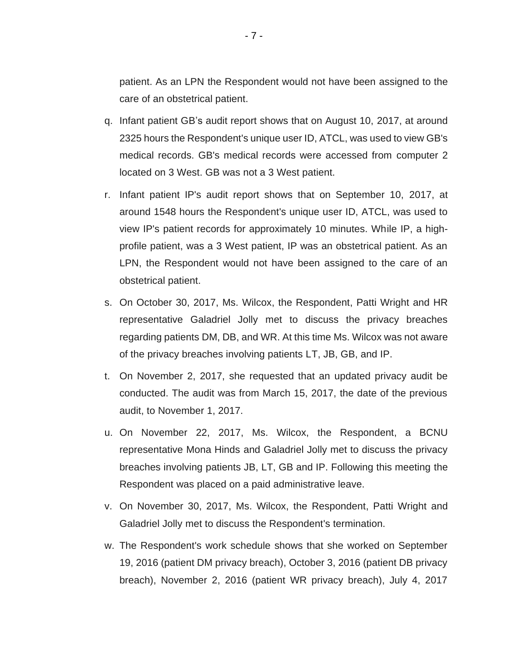patient. As an LPN the Respondent would not have been assigned to the care of an obstetrical patient.

- q. Infant patient GB's audit report shows that on August 10, 2017, at around 2325 hours the Respondent's unique user ID, ATCL, was used to view GB's medical records. GB's medical records were accessed from computer 2 located on 3 West. GB was not a 3 West patient.
- r. Infant patient IP's audit report shows that on September 10, 2017, at around 1548 hours the Respondent's unique user ID, ATCL, was used to view IP's patient records for approximately 10 minutes. While IP, a highprofile patient, was a 3 West patient, IP was an obstetrical patient. As an LPN, the Respondent would not have been assigned to the care of an obstetrical patient.
- s. On October 30, 2017, Ms. Wilcox, the Respondent, Patti Wright and HR representative Galadriel Jolly met to discuss the privacy breaches regarding patients DM, DB, and WR. At this time Ms. Wilcox was not aware of the privacy breaches involving patients LT, JB, GB, and IP.
- t. On November 2, 2017, she requested that an updated privacy audit be conducted. The audit was from March 15, 2017, the date of the previous audit, to November 1, 2017.
- u. On November 22, 2017, Ms. Wilcox, the Respondent, a BCNU representative Mona Hinds and Galadriel Jolly met to discuss the privacy breaches involving patients JB, LT, GB and IP. Following this meeting the Respondent was placed on a paid administrative leave.
- v. On November 30, 2017, Ms. Wilcox, the Respondent, Patti Wright and Galadriel Jolly met to discuss the Respondent's termination.
- w. The Respondent's work schedule shows that she worked on September 19, 2016 (patient DM privacy breach), October 3, 2016 (patient DB privacy breach), November 2, 2016 (patient WR privacy breach), July 4, 2017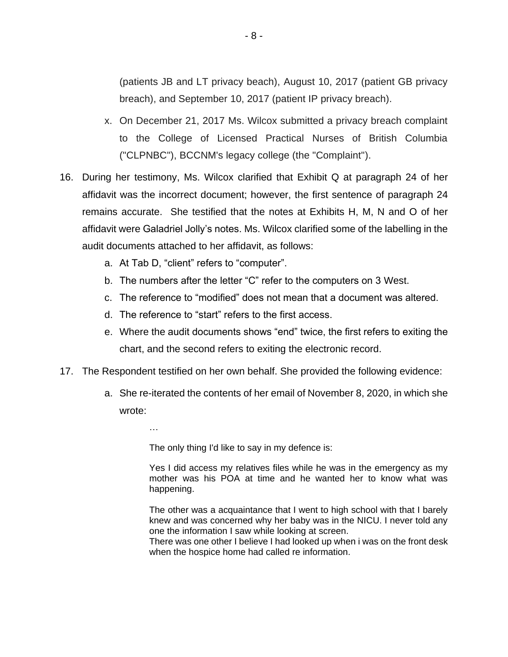(patients JB and LT privacy beach), August 10, 2017 (patient GB privacy breach), and September 10, 2017 (patient IP privacy breach).

- x. On December 21, 2017 Ms. Wilcox submitted a privacy breach complaint to the College of Licensed Practical Nurses of British Columbia ("CLPNBC"), BCCNM's legacy college (the "Complaint").
- 16. During her testimony, Ms. Wilcox clarified that Exhibit Q at paragraph 24 of her affidavit was the incorrect document; however, the first sentence of paragraph 24 remains accurate. She testified that the notes at Exhibits H, M, N and O of her affidavit were Galadriel Jolly's notes. Ms. Wilcox clarified some of the labelling in the audit documents attached to her affidavit, as follows:
	- a. At Tab D, "client" refers to "computer".
	- b. The numbers after the letter "C" refer to the computers on 3 West.
	- c. The reference to "modified" does not mean that a document was altered.
	- d. The reference to "start" refers to the first access.
	- e. Where the audit documents shows "end" twice, the first refers to exiting the chart, and the second refers to exiting the electronic record.
- 17. The Respondent testified on her own behalf. She provided the following evidence:
	- a. She re-iterated the contents of her email of November 8, 2020, in which she wrote:

…

The only thing I'd like to say in my defence is:

Yes I did access my relatives files while he was in the emergency as my mother was his POA at time and he wanted her to know what was happening.

The other was a acquaintance that I went to high school with that I barely knew and was concerned why her baby was in the NICU. I never told any one the information I saw while looking at screen.

There was one other I believe I had looked up when i was on the front desk when the hospice home had called re information.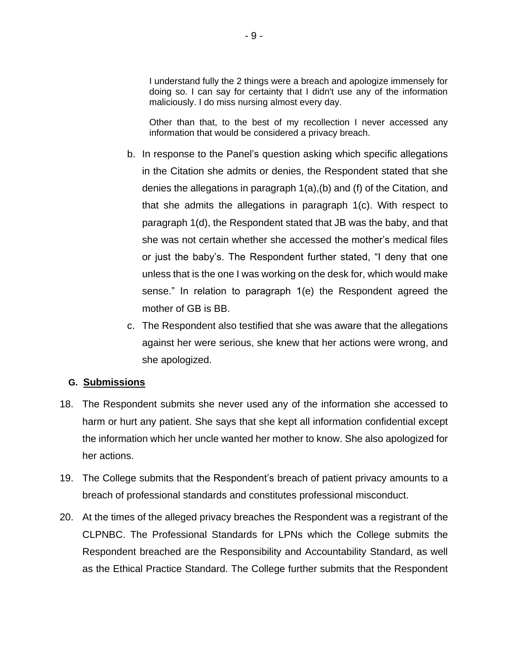I understand fully the 2 things were a breach and apologize immensely for doing so. I can say for certainty that I didn't use any of the information maliciously. I do miss nursing almost every day.

Other than that, to the best of my recollection I never accessed any information that would be considered a privacy breach.

- b. In response to the Panel's question asking which specific allegations in the Citation she admits or denies, the Respondent stated that she denies the allegations in paragraph 1(a),(b) and (f) of the Citation, and that she admits the allegations in paragraph 1(c). With respect to paragraph 1(d), the Respondent stated that JB was the baby, and that she was not certain whether she accessed the mother's medical files or just the baby's. The Respondent further stated, "I deny that one unless that is the one I was working on the desk for, which would make sense." In relation to paragraph 1(e) the Respondent agreed the mother of GB is BB.
- c. The Respondent also testified that she was aware that the allegations against her were serious, she knew that her actions were wrong, and she apologized.

## **G. Submissions**

- 18. The Respondent submits she never used any of the information she accessed to harm or hurt any patient. She says that she kept all information confidential except the information which her uncle wanted her mother to know. She also apologized for her actions.
- 19. The College submits that the Respondent's breach of patient privacy amounts to a breach of professional standards and constitutes professional misconduct.
- 20. At the times of the alleged privacy breaches the Respondent was a registrant of the CLPNBC. The Professional Standards for LPNs which the College submits the Respondent breached are the Responsibility and Accountability Standard, as well as the Ethical Practice Standard. The College further submits that the Respondent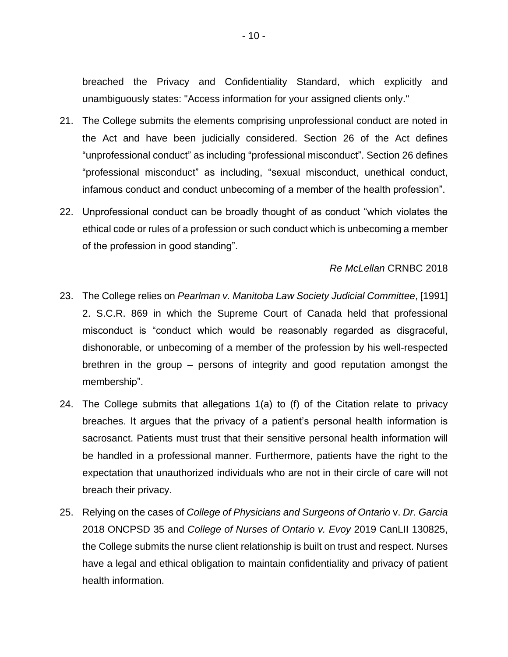breached the Privacy and Confidentiality Standard, which explicitly and unambiguously states: "Access information for your assigned clients only."

- 21. The College submits the elements comprising unprofessional conduct are noted in the Act and have been judicially considered. Section 26 of the Act defines "unprofessional conduct" as including "professional misconduct". Section 26 defines "professional misconduct" as including, "sexual misconduct, unethical conduct, infamous conduct and conduct unbecoming of a member of the health profession".
- 22. Unprofessional conduct can be broadly thought of as conduct "which violates the ethical code or rules of a profession or such conduct which is unbecoming a member of the profession in good standing".

#### *Re McLellan* CRNBC 2018

- 23. The College relies on *Pearlman v. Manitoba Law Society Judicial Committee*, [1991] 2. S.C.R. 869 in which the Supreme Court of Canada held that professional misconduct is "conduct which would be reasonably regarded as disgraceful, dishonorable, or unbecoming of a member of the profession by his well-respected brethren in the group – persons of integrity and good reputation amongst the membership".
- 24. The College submits that allegations 1(a) to (f) of the Citation relate to privacy breaches. It argues that the privacy of a patient's personal health information is sacrosanct. Patients must trust that their sensitive personal health information will be handled in a professional manner. Furthermore, patients have the right to the expectation that unauthorized individuals who are not in their circle of care will not breach their privacy.
- 25. Relying on the cases of *College of Physicians and Surgeons of Ontario* v. *Dr. Garcia*  2018 ONCPSD 35 and *College of Nurses of Ontario v. Evoy* 2019 CanLII 130825, the College submits the nurse client relationship is built on trust and respect. Nurses have a legal and ethical obligation to maintain confidentiality and privacy of patient health information.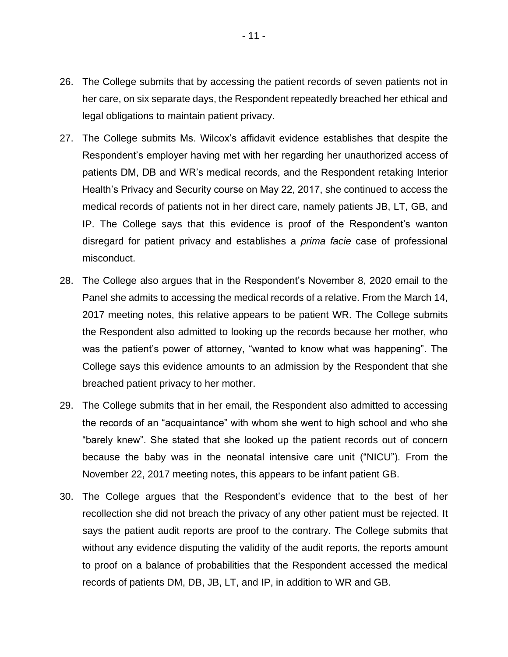- 26. The College submits that by accessing the patient records of seven patients not in her care, on six separate days, the Respondent repeatedly breached her ethical and legal obligations to maintain patient privacy.
- 27. The College submits Ms. Wilcox's affidavit evidence establishes that despite the Respondent's employer having met with her regarding her unauthorized access of patients DM, DB and WR's medical records, and the Respondent retaking Interior Health's Privacy and Security course on May 22, 2017, she continued to access the medical records of patients not in her direct care, namely patients JB, LT, GB, and IP. The College says that this evidence is proof of the Respondent's wanton disregard for patient privacy and establishes a *prima facie* case of professional misconduct.
- 28. The College also argues that in the Respondent's November 8, 2020 email to the Panel she admits to accessing the medical records of a relative. From the March 14, 2017 meeting notes, this relative appears to be patient WR. The College submits the Respondent also admitted to looking up the records because her mother, who was the patient's power of attorney, "wanted to know what was happening". The College says this evidence amounts to an admission by the Respondent that she breached patient privacy to her mother.
- 29. The College submits that in her email, the Respondent also admitted to accessing the records of an "acquaintance" with whom she went to high school and who she "barely knew". She stated that she looked up the patient records out of concern because the baby was in the neonatal intensive care unit ("NICU"). From the November 22, 2017 meeting notes, this appears to be infant patient GB.
- 30. The College argues that the Respondent's evidence that to the best of her recollection she did not breach the privacy of any other patient must be rejected. It says the patient audit reports are proof to the contrary. The College submits that without any evidence disputing the validity of the audit reports, the reports amount to proof on a balance of probabilities that the Respondent accessed the medical records of patients DM, DB, JB, LT, and IP, in addition to WR and GB.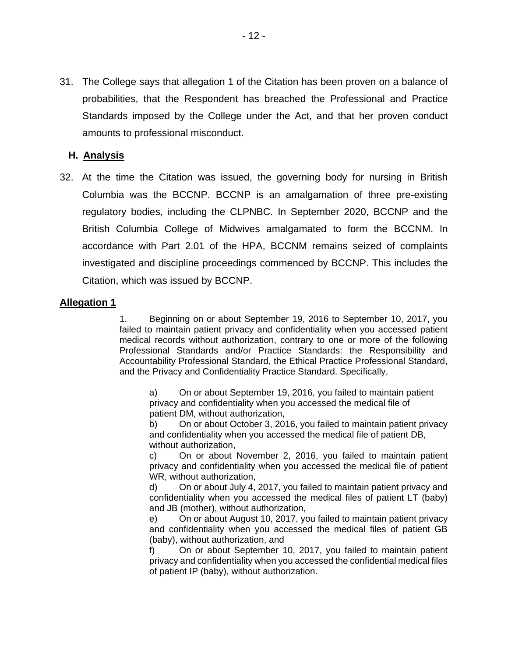31. The College says that allegation 1 of the Citation has been proven on a balance of probabilities, that the Respondent has breached the Professional and Practice Standards imposed by the College under the Act, and that her proven conduct amounts to professional misconduct.

# **H. Analysis**

32. At the time the Citation was issued, the governing body for nursing in British Columbia was the BCCNP. BCCNP is an amalgamation of three pre-existing regulatory bodies, including the CLPNBC. In September 2020, BCCNP and the British Columbia College of Midwives amalgamated to form the BCCNM. In accordance with Part 2.01 of the HPA, BCCNM remains seized of complaints investigated and discipline proceedings commenced by BCCNP. This includes the Citation, which was issued by BCCNP.

# **Allegation 1**

1. Beginning on or about September 19, 2016 to September 10, 2017, you failed to maintain patient privacy and confidentiality when you accessed patient medical records without authorization, contrary to one or more of the following Professional Standards and/or Practice Standards: the Responsibility and Accountability Professional Standard, the Ethical Practice Professional Standard, and the Privacy and Confidentiality Practice Standard. Specifically,

a) On or about September 19, 2016, you failed to maintain patient privacy and confidentiality when you accessed the medical file of patient DM, without authorization,

b) On or about October 3, 2016, you failed to maintain patient privacy and confidentiality when you accessed the medical file of patient DB, without authorization,

c) On or about November 2, 2016, you failed to maintain patient privacy and confidentiality when you accessed the medical file of patient WR, without authorization,

d) On or about July 4, 2017, you failed to maintain patient privacy and confidentiality when you accessed the medical files of patient LT (baby) and JB (mother), without authorization,

e) On or about August 10, 2017, you failed to maintain patient privacy and confidentiality when you accessed the medical files of patient GB (baby), without authorization, and

f) On or about September 10, 2017, you failed to maintain patient privacy and confidentiality when you accessed the confidential medical files of patient IP (baby), without authorization.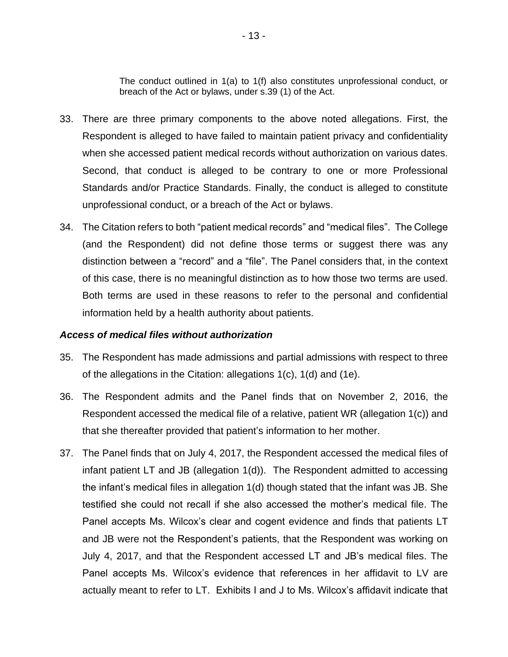The conduct outlined in 1(a) to 1(f) also constitutes unprofessional conduct, or breach of the Act or bylaws, under s.39 (1) of the Act.

- 33. There are three primary components to the above noted allegations. First, the Respondent is alleged to have failed to maintain patient privacy and confidentiality when she accessed patient medical records without authorization on various dates. Second, that conduct is alleged to be contrary to one or more Professional Standards and/or Practice Standards. Finally, the conduct is alleged to constitute unprofessional conduct, or a breach of the Act or bylaws.
- 34. The Citation refers to both "patient medical records" and "medical files". The College (and the Respondent) did not define those terms or suggest there was any distinction between a "record" and a "file". The Panel considers that, in the context of this case, there is no meaningful distinction as to how those two terms are used. Both terms are used in these reasons to refer to the personal and confidential information held by a health authority about patients.

#### *Access of medical files without authorization*

- 35. The Respondent has made admissions and partial admissions with respect to three of the allegations in the Citation: allegations 1(c), 1(d) and (1e).
- 36. The Respondent admits and the Panel finds that on November 2, 2016, the Respondent accessed the medical file of a relative, patient WR (allegation 1(c)) and that she thereafter provided that patient's information to her mother.
- 37. The Panel finds that on July 4, 2017, the Respondent accessed the medical files of infant patient LT and JB (allegation 1(d)). The Respondent admitted to accessing the infant's medical files in allegation 1(d) though stated that the infant was JB. She testified she could not recall if she also accessed the mother's medical file. The Panel accepts Ms. Wilcox's clear and cogent evidence and finds that patients LT and JB were not the Respondent's patients, that the Respondent was working on July 4, 2017, and that the Respondent accessed LT and JB's medical files. The Panel accepts Ms. Wilcox's evidence that references in her affidavit to LV are actually meant to refer to LT. Exhibits I and J to Ms. Wilcox's affidavit indicate that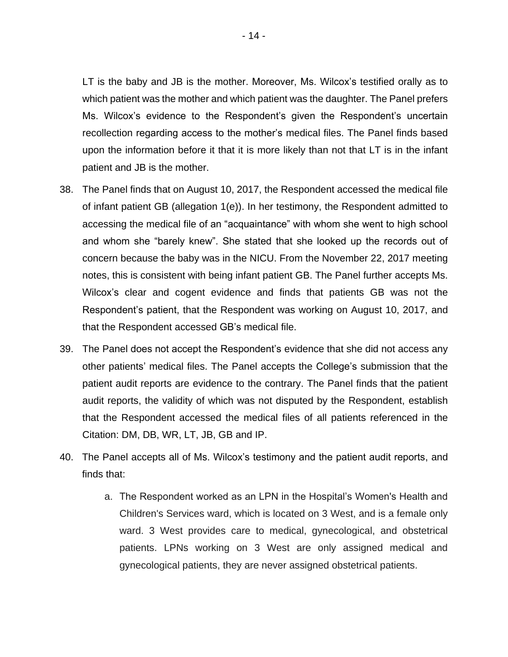LT is the baby and JB is the mother. Moreover, Ms. Wilcox's testified orally as to which patient was the mother and which patient was the daughter. The Panel prefers Ms. Wilcox's evidence to the Respondent's given the Respondent's uncertain recollection regarding access to the mother's medical files. The Panel finds based upon the information before it that it is more likely than not that LT is in the infant patient and JB is the mother.

- 38. The Panel finds that on August 10, 2017, the Respondent accessed the medical file of infant patient GB (allegation 1(e)). In her testimony, the Respondent admitted to accessing the medical file of an "acquaintance" with whom she went to high school and whom she "barely knew". She stated that she looked up the records out of concern because the baby was in the NICU. From the November 22, 2017 meeting notes, this is consistent with being infant patient GB. The Panel further accepts Ms. Wilcox's clear and cogent evidence and finds that patients GB was not the Respondent's patient, that the Respondent was working on August 10, 2017, and that the Respondent accessed GB's medical file.
- 39. The Panel does not accept the Respondent's evidence that she did not access any other patients' medical files. The Panel accepts the College's submission that the patient audit reports are evidence to the contrary. The Panel finds that the patient audit reports, the validity of which was not disputed by the Respondent, establish that the Respondent accessed the medical files of all patients referenced in the Citation: DM, DB, WR, LT, JB, GB and IP.
- 40. The Panel accepts all of Ms. Wilcox's testimony and the patient audit reports, and finds that:
	- a. The Respondent worked as an LPN in the Hospital's Women's Health and Children's Services ward, which is located on 3 West, and is a female only ward. 3 West provides care to medical, gynecological, and obstetrical patients. LPNs working on 3 West are only assigned medical and gynecological patients, they are never assigned obstetrical patients.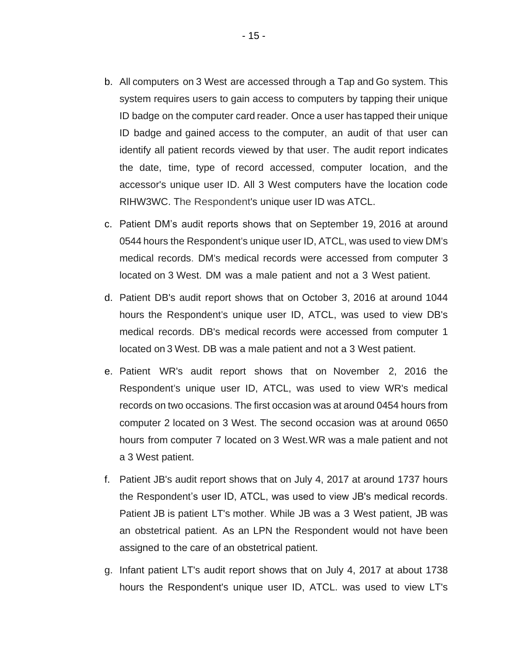- b. All computers on 3 West are accessed through a Tap and Go system. This system requires users to gain access to computers by tapping their unique ID badge on the computer card reader. Once a user has tapped their unique ID badge and gained access to the computer, an audit of that user can identify all patient records viewed by that user. The audit report indicates the date, time, type of record accessed, computer location, and the accessor's unique user ID. All 3 West computers have the location code RIHW3WC. The Respondent's unique user ID was ATCL.
- c. Patient DM's audit reports shows that on September 19, 2016 at around 0544 hours the Respondent's unique user ID, ATCL, was used to view DM's medical records. DM's medical records were accessed from computer 3 located on 3 West. DM was a male patient and not a 3 West patient.
- d. Patient DB's audit report shows that on October 3, 2016 at around 1044 hours the Respondent's unique user ID, ATCL, was used to view DB's medical records. DB's medical records were accessed from computer 1 located on 3 West. DB was a male patient and not a 3 West patient.
- e. Patient WR's audit report shows that on November 2, 2016 the Respondent's unique user ID, ATCL, was used to view WR's medical records on two occasions. The first occasion was at around 0454 hours from computer 2 located on 3 West. The second occasion was at around 0650 hours from computer 7 located on 3 West. WR was a male patient and not a 3 West patient.
- f. Patient JB's audit report shows that on July 4, 2017 at around 1737 hours the Respondent's user ID, ATCL, was used to view JB's medical records. Patient JB is patient LT's mother. While JB was a 3 West patient, JB was an obstetrical patient. As an LPN the Respondent would not have been assigned to the care of an obstetrical patient.
- g. Infant patient LT's audit report shows that on July 4, 2017 at about 1738 hours the Respondent's unique user ID, ATCL. was used to view LT's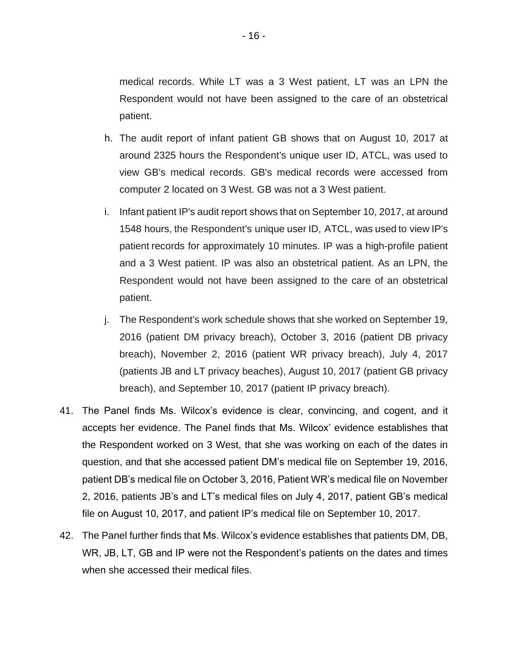medical records. While LT was a 3 West patient, LT was an LPN the Respondent would not have been assigned to the care of an obstetrical patient.

- h. The audit report of infant patient GB shows that on August 10, 2017 at around 2325 hours the Respondent's unique user ID, ATCL, was used to view GB's medical records. GB's medical records were accessed from computer 2 located on 3 West. GB was not a 3 West patient.
- i. Infant patient IP's audit report shows that on September 10, 2017, at around 1548 hours, the Respondent's unique user ID, ATCL, was used to view IP's patient records for approximately 10 minutes. IP was a high-profile patient and a 3 West patient. IP was also an obstetrical patient. As an LPN, the Respondent would not have been assigned to the care of an obstetrical patient.
- j. The Respondent's work schedule shows that she worked on September 19, 2016 (patient DM privacy breach), October 3, 2016 (patient DB privacy breach), November 2, 2016 (patient WR privacy breach), July 4, 2017 (patients JB and LT privacy beaches), August 10, 2017 (patient GB privacy breach), and September 10, 2017 (patient IP privacy breach).
- 41. The Panel finds Ms. Wilcox's evidence is clear, convincing, and cogent, and it accepts her evidence. The Panel finds that Ms. Wilcox' evidence establishes that the Respondent worked on 3 West, that she was working on each of the dates in question, and that she accessed patient DM's medical file on September 19, 2016, patient DB's medical file on October 3, 2016, Patient WR's medical file on November 2, 2016, patients JB's and LT's medical files on July 4, 2017, patient GB's medical file on August 10, 2017, and patient IP's medical file on September 10, 2017.
- 42. The Panel further finds that Ms. Wilcox's evidence establishes that patients DM, DB, WR, JB, LT, GB and IP were not the Respondent's patients on the dates and times when she accessed their medical files.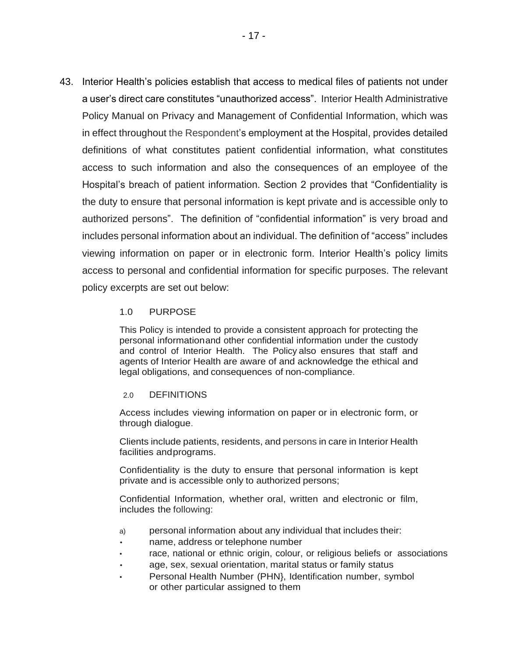43. Interior Health's policies establish that access to medical files of patients not under a user's direct care constitutes "unauthorized access". Interior Health Administrative Policy Manual on Privacy and Management of Confidential Information, which was in effect throughout the Respondent's employment at the Hospital, provides detailed definitions of what constitutes patient confidential information, what constitutes access to such information and also the consequences of an employee of the Hospital's breach of patient information. Section 2 provides that "Confidentiality is the duty to ensure that personal information is kept private and is accessible only to authorized persons". The definition of "confidential information" is very broad and includes personal information about an individual. The definition of "access" includes viewing information on paper or in electronic form. Interior Health's policy limits access to personal and confidential information for specific purposes. The relevant policy excerpts are set out below:

### 1.0 PURPOSE

This Policy is intended to provide a consistent approach for protecting the personal informationand other confidential information under the custody and control of Interior Health. The Policy also ensures that staff and agents of Interior Health are aware of and acknowledge the ethical and legal obligations, and consequences of non-compliance.

#### 2.0 DEFINITIONS

Access includes viewing information on paper or in electronic form, or through dialogue.

Clients include patients, residents, and persons in care in Interior Health facilities andprograms.

Confidentiality is the duty to ensure that personal information is kept private and is accessible only to authorized persons;

Confidential Information, whether oral, written and electronic or film, includes the following:

- a) personal information about any individual that includes their:
- name, address or telephone number
- race, national or ethnic origin, colour, or religious beliefs or associations
- age, sex, sexual orientation, marital status or family status
- Personal Health Number (PHN), Identification number, symbol or other particular assigned to them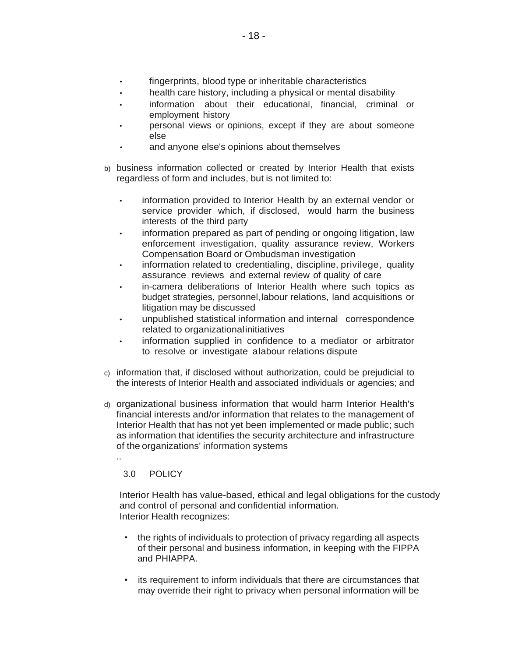- fingerprints, blood type or inheritable characteristics
- health care history, including a physical or mental disability
- information about their educational, financial, criminal or employment history
- personal views or opinions, except if they are about someone else
- and anyone else's opinions about themselves
- b) business information collected or created by Interior Health that exists regardless of form and includes, but is not limited to:
	- information provided to Interior Health by an external vendor or service provider which, if disclosed, would harm the business interests of the third party
	- information prepared as part of pending or ongoing litigation, law enforcement investigation, quality assurance review, Workers Compensation Board or Ombudsman investigation
	- information related to credentialing, discipline, privilege, quality assurance reviews and external review of quality of care
	- in-camera deliberations of Interior Health where such topics as budget strategies, personnel,labour relations, land acquisitions or litigation may be discussed
	- unpublished statistical information and internal correspondence related to organizationalinitiatives
	- information supplied in confidence to a mediator or arbitrator to resolve or investigate alabour relations dispute
- c) information that, if disclosed without authorization, could be prejudicial to the interests of Interior Health and associated individuals or agencies; and
- d) organizational business information that would harm Interior Health's financial interests and/or information that relates to the management of Interior Health that has not yet been implemented or made public; such as information that identifies the security architecture and infrastructure of the organizations' information systems

3.0 POLICY

..

Interior Health has value-based, ethical and legal obligations for the custody and control of personal and confidential information. Interior Health recognizes:

- the rights of individuals to protection of privacy regarding all aspects of their personal and business information, in keeping with the FIPPA and PHIAPPA.
- its requirement to inform individuals that there are circumstances that may override their right to privacy when personal information will be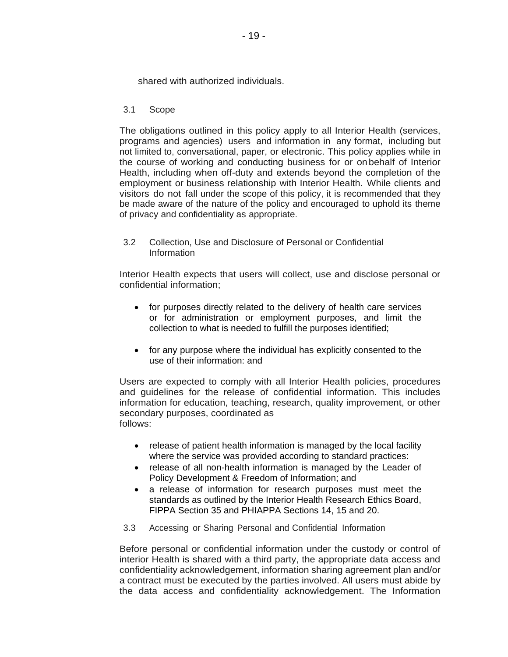shared with authorized individuals.

3.1 Scope

The obligations outlined in this policy apply to all Interior Health (services, programs and agencies) users and information in any format, including but not limited to, conversational, paper, or electronic. This policy applies while in the course of working and conducting business for or onbehalf of Interior Health, including when off-duty and extends beyond the completion of the employment or business relationship with Interior Health. While clients and visitors do not fall under the scope of this policy, it is recommended that they be made aware of the nature of the policy and encouraged to uphold its theme of privacy and confidentiality as appropriate.

3.2 Collection, Use and Disclosure of Personal or Confidential Information

Interior Health expects that users will collect, use and disclose personal or confidential information;

- for purposes directly related to the delivery of health care services or for administration or employment purposes, and limit the collection to what is needed to fulfill the purposes identified;
- for any purpose where the individual has explicitly consented to the use of their information: and

Users are expected to comply with all Interior Health policies, procedures and guidelines for the release of confidential information. This includes information for education, teaching, research, quality improvement, or other secondary purposes, coordinated as follows:

- release of patient health information is managed by the local facility where the service was provided according to standard practices:
- release of all non-health information is managed by the Leader of Policy Development & Freedom of Information; and
- a release of information for research purposes must meet the standards as outlined by the Interior Health Research Ethics Board, FIPPA Section 35 and PHIAPPA Sections 14, 15 and 20.
- 3.3 Accessing or Sharing Personal and Confidential Information

Before personal or confidential information under the custody or control of interior Health is shared with a third party, the appropriate data access and confidentiality acknowledgement, information sharing agreement plan and/or a contract must be executed by the parties involved. All users must abide by the data access and confidentiality acknowledgement. The Information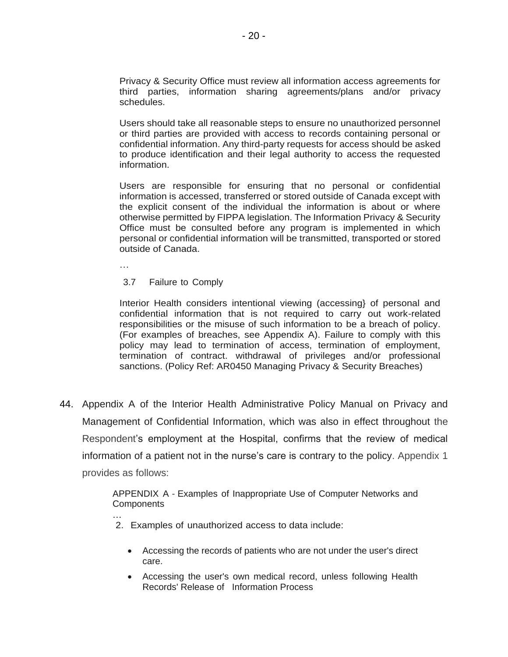Privacy & Security Office must review all information access agreements for third parties, information sharing agreements/plans and/or privacy schedules.

Users should take all reasonable steps to ensure no unauthorized personnel or third parties are provided with access to records containing personal or confidential information. Any third-party requests for access should be asked to produce identification and their legal authority to access the requested information.

Users are responsible for ensuring that no personal or confidential information is accessed, transferred or stored outside of Canada except with the explicit consent of the individual the information is about or where otherwise permitted by FIPPA legislation. The Information Privacy & Security Office must be consulted before any program is implemented in which personal or confidential information will be transmitted, transported or stored outside of Canada.

…

3.7 Failure to Comply

Interior Health considers intentional viewing (accessing} of personal and confidential information that is not required to carry out work-related responsibilities or the misuse of such information to be a breach of policy. (For examples of breaches, see Appendix A). Failure to comply with this policy may lead to termination of access, termination of employment, termination of contract. withdrawal of privileges and/or professional sanctions. (Policy Ref: AR0450 Managing Privacy & Security Breaches)

44. Appendix A of the Interior Health Administrative Policy Manual on Privacy and Management of Confidential Information, which was also in effect throughout the Respondent's employment at the Hospital, confirms that the review of medical information of a patient not in the nurse's care is contrary to the policy. Appendix 1 provides as follows:

> APPENDIX A - Examples of Inappropriate Use of Computer Networks and **Components**

- … 2. Examples of unauthorized access to data include:
	- Accessing the records of patients who are not under the user's direct care.
	- Accessing the user's own medical record, unless following Health Records' Release of Information Process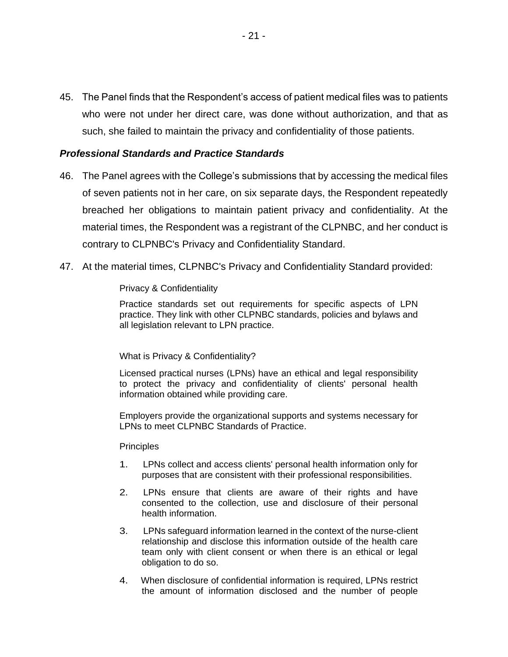45. The Panel finds that the Respondent's access of patient medical files was to patients who were not under her direct care, was done without authorization, and that as such, she failed to maintain the privacy and confidentiality of those patients.

## *Professional Standards and Practice Standards*

- 46. The Panel agrees with the College's submissions that by accessing the medical files of seven patients not in her care, on six separate days, the Respondent repeatedly breached her obligations to maintain patient privacy and confidentiality. At the material times, the Respondent was a registrant of the CLPNBC, and her conduct is contrary to CLPNBC's Privacy and Confidentiality Standard.
- 47. At the material times, CLPNBC's Privacy and Confidentiality Standard provided:

#### Privacy & Confidentiality

Practice standards set out requirements for specific aspects of LPN practice. They link with other CLPNBC standards, policies and bylaws and all legislation relevant to LPN practice.

#### What is Privacy & Confidentiality?

Licensed practical nurses (LPNs) have an ethical and legal responsibility to protect the privacy and confidentiality of clients' personal health information obtained while providing care.

Employers provide the organizational supports and systems necessary for LPNs to meet CLPNBC Standards of Practice.

#### **Principles**

- 1. LPNs collect and access clients' personal health information only for purposes that are consistent with their professional responsibilities.
- 2. LPNs ensure that clients are aware of their rights and have consented to the collection, use and disclosure of their personal health information.
- 3. LPNs safeguard information learned in the context of the nurse-client relationship and disclose this information outside of the health care team only with client consent or when there is an ethical or legal obligation to do so.
- 4. When disclosure of confidential information is required, LPNs restrict the amount of information disclosed and the number of people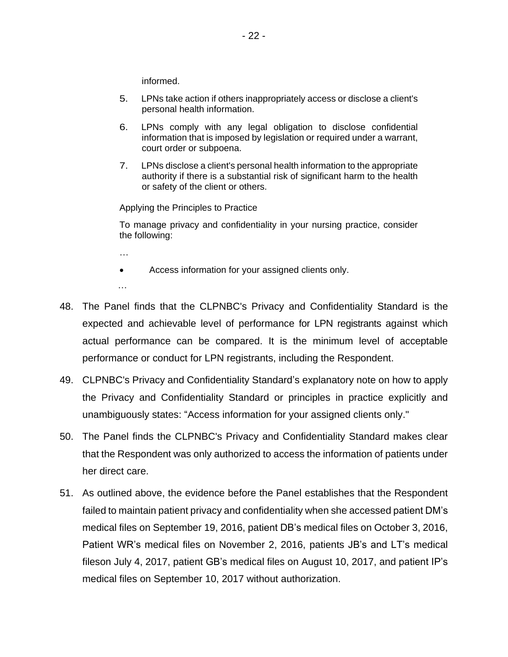informed.

- 5. LPNs take action if others inappropriately access or disclose a client's personal health information.
- 6. LPNs comply with any legal obligation to disclose confidential information that is imposed by legislation or required under a warrant, court order or subpoena.
- 7. LPNs disclose a client's personal health information to the appropriate authority if there is a substantial risk of significant harm to the health or safety of the client or others.

Applying the Principles to Practice

To manage privacy and confidentiality in your nursing practice, consider the following:

…

• Access information for your assigned clients only.

…

- 48. The Panel finds that the CLPNBC's Privacy and Confidentiality Standard is the expected and achievable level of performance for LPN registrants against which actual performance can be compared. It is the minimum level of acceptable performance or conduct for LPN registrants, including the Respondent.
- 49. CLPNBC's Privacy and Confidentiality Standard's explanatory note on how to apply the Privacy and Confidentiality Standard or principles in practice explicitly and unambiguously states: "Access information for your assigned clients only."
- 50. The Panel finds the CLPNBC's Privacy and Confidentiality Standard makes clear that the Respondent was only authorized to access the information of patients under her direct care.
- 51. As outlined above, the evidence before the Panel establishes that the Respondent failed to maintain patient privacy and confidentiality when she accessed patient DM's medical files on September 19, 2016, patient DB's medical files on October 3, 2016, Patient WR's medical files on November 2, 2016, patients JB's and LT's medical fileson July 4, 2017, patient GB's medical files on August 10, 2017, and patient IP's medical files on September 10, 2017 without authorization.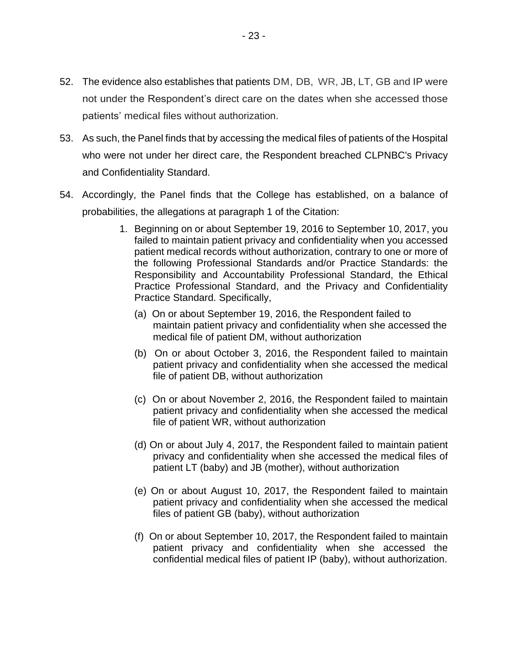- 52. The evidence also establishes that patients DM, DB, WR, JB, LT, GB and IP were not under the Respondent's direct care on the dates when she accessed those patients' medical files without authorization.
- 53. As such, the Panel finds that by accessing the medical files of patients of the Hospital who were not under her direct care, the Respondent breached CLPNBC's Privacy and Confidentiality Standard.
- 54. Accordingly, the Panel finds that the College has established, on a balance of probabilities, the allegations at paragraph 1 of the Citation:
	- 1. Beginning on or about September 19, 2016 to September 10, 2017, you failed to maintain patient privacy and confidentiality when you accessed patient medical records without authorization, contrary to one or more of the following Professional Standards and/or Practice Standards: the Responsibility and Accountability Professional Standard, the Ethical Practice Professional Standard, and the Privacy and Confidentiality Practice Standard. Specifically,
		- (a) On or about September 19, 2016, the Respondent failed to maintain patient privacy and confidentiality when she accessed the medical file of patient DM, without authorization
		- (b) On or about October 3, 2016, the Respondent failed to maintain patient privacy and confidentiality when she accessed the medical file of patient DB, without authorization
		- (c) On or about November 2, 2016, the Respondent failed to maintain patient privacy and confidentiality when she accessed the medical file of patient WR, without authorization
		- (d) On or about July 4, 2017, the Respondent failed to maintain patient privacy and confidentiality when she accessed the medical files of patient LT (baby) and JB (mother), without authorization
		- (e) On or about August 10, 2017, the Respondent failed to maintain patient privacy and confidentiality when she accessed the medical files of patient GB (baby), without authorization
		- (f) On or about September 10, 2017, the Respondent failed to maintain patient privacy and confidentiality when she accessed the confidential medical files of patient IP (baby), without authorization.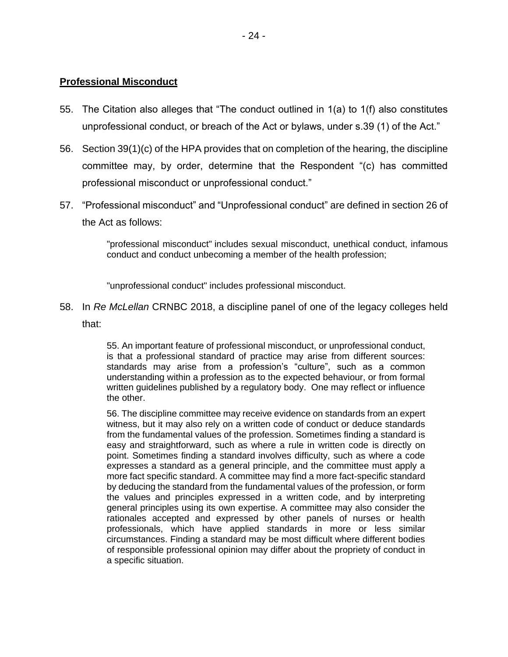## **Professional Misconduct**

- 55. The Citation also alleges that "The conduct outlined in 1(a) to 1(f) also constitutes unprofessional conduct, or breach of the Act or bylaws, under s.39 (1) of the Act."
- 56. Section 39(1)(c) of the HPA provides that on completion of the hearing, the discipline committee may, by order, determine that the Respondent "(c) has committed professional misconduct or unprofessional conduct."
- 57. "Professional misconduct" and "Unprofessional conduct" are defined in section 26 of the Act as follows:

"professional misconduct" includes sexual misconduct, unethical conduct, infamous conduct and conduct unbecoming a member of the health profession;

"unprofessional conduct" includes professional misconduct.

58. In *Re McLellan* CRNBC 2018, a discipline panel of one of the legacy colleges held that:

> 55. An important feature of professional misconduct, or unprofessional conduct, is that a professional standard of practice may arise from different sources: standards may arise from a profession's "culture", such as a common understanding within a profession as to the expected behaviour, or from formal written guidelines published by a regulatory body. One may reflect or influence the other.

> 56. The discipline committee may receive evidence on standards from an expert witness, but it may also rely on a written code of conduct or deduce standards from the fundamental values of the profession. Sometimes finding a standard is easy and straightforward, such as where a rule in written code is directly on point. Sometimes finding a standard involves difficulty, such as where a code expresses a standard as a general principle, and the committee must apply a more fact specific standard. A committee may find a more fact-specific standard by deducing the standard from the fundamental values of the profession, or form the values and principles expressed in a written code, and by interpreting general principles using its own expertise. A committee may also consider the rationales accepted and expressed by other panels of nurses or health professionals, which have applied standards in more or less similar circumstances. Finding a standard may be most difficult where different bodies of responsible professional opinion may differ about the propriety of conduct in a specific situation.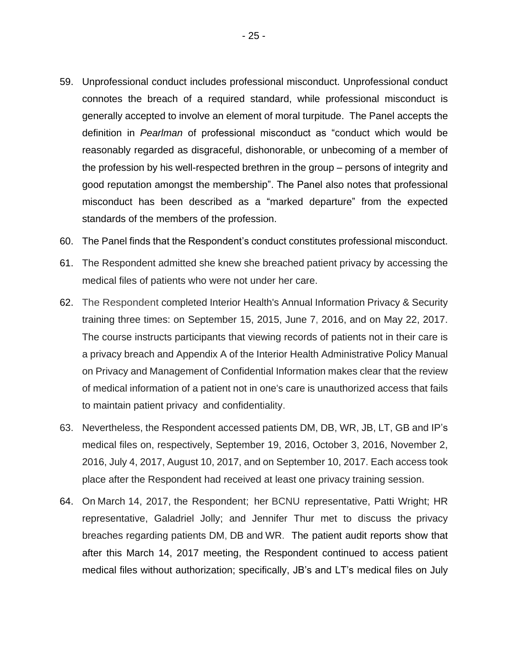- 59. Unprofessional conduct includes professional misconduct. Unprofessional conduct connotes the breach of a required standard, while professional misconduct is generally accepted to involve an element of moral turpitude. The Panel accepts the definition in *Pearlman* of professional misconduct as "conduct which would be reasonably regarded as disgraceful, dishonorable, or unbecoming of a member of the profession by his well-respected brethren in the group – persons of integrity and good reputation amongst the membership". The Panel also notes that professional misconduct has been described as a "marked departure" from the expected standards of the members of the profession.
- 60. The Panel finds that the Respondent's conduct constitutes professional misconduct.
- 61. The Respondent admitted she knew she breached patient privacy by accessing the medical files of patients who were not under her care.
- 62. The Respondent completed Interior Health's Annual Information Privacy & Security training three times: on September 15, 2015, June 7, 2016, and on May 22, 2017. The course instructs participants that viewing records of patients not in their care is a privacy breach and Appendix A of the Interior Health Administrative Policy Manual on Privacy and Management of Confidential Information makes clear that the review of medical information of a patient not in one's care is unauthorized access that fails to maintain patient privacy and confidentiality.
- 63. Nevertheless, the Respondent accessed patients DM, DB, WR, JB, LT, GB and IP's medical files on, respectively, September 19, 2016, October 3, 2016, November 2, 2016, July 4, 2017, August 10, 2017, and on September 10, 2017. Each access took place after the Respondent had received at least one privacy training session.
- 64. On March 14, 2017, the Respondent; her BCNU representative, Patti Wright; HR representative, Galadriel Jolly; and Jennifer Thur met to discuss the privacy breaches regarding patients DM, DB and WR. The patient audit reports show that after this March 14, 2017 meeting, the Respondent continued to access patient medical files without authorization; specifically, JB's and LT's medical files on July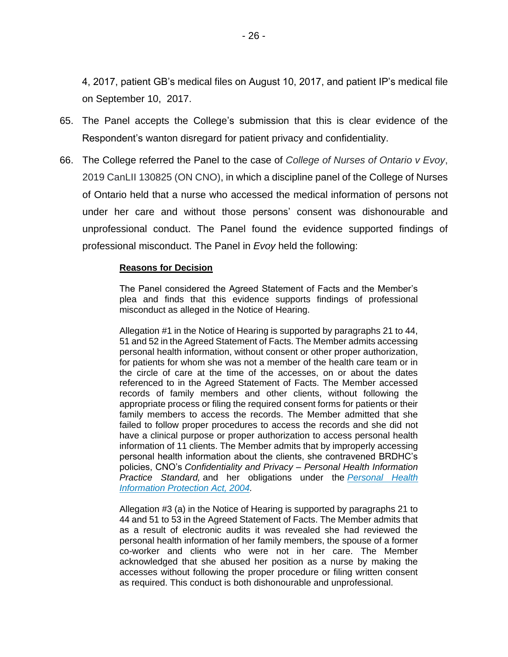4, 2017, patient GB's medical files on August 10, 2017, and patient IP's medical file on September 10, 2017.

- 65. The Panel accepts the College's submission that this is clear evidence of the Respondent's wanton disregard for patient privacy and confidentiality.
- 66. The College referred the Panel to the case of *College of Nurses of Ontario v Evoy*, 2019 CanLII 130825 (ON CNO), in which a discipline panel of the College of Nurses of Ontario held that a nurse who accessed the medical information of persons not under her care and without those persons' consent was dishonourable and unprofessional conduct. The Panel found the evidence supported findings of professional misconduct. The Panel in *Evoy* held the following:

#### **Reasons for Decision**

The Panel considered the Agreed Statement of Facts and the Member's plea and finds that this evidence supports findings of professional misconduct as alleged in the Notice of Hearing.

Allegation #1 in the Notice of Hearing is supported by paragraphs 21 to 44, 51 and 52 in the Agreed Statement of Facts. The Member admits accessing personal health information, without consent or other proper authorization, for patients for whom she was not a member of the health care team or in the circle of care at the time of the accesses, on or about the dates referenced to in the Agreed Statement of Facts. The Member accessed records of family members and other clients, without following the appropriate process or filing the required consent forms for patients or their family members to access the records. The Member admitted that she failed to follow proper procedures to access the records and she did not have a clinical purpose or proper authorization to access personal health information of 11 clients. The Member admits that by improperly accessing personal health information about the clients, she contravened BRDHC's policies, CNO's *Confidentiality and Privacy – Personal Health Information Practice Standard,* and her obligations under the *Personal Health Information Protection Act, 2004.*

Allegation #3 (a) in the Notice of Hearing is supported by paragraphs 21 to 44 and 51 to 53 in the Agreed Statement of Facts. The Member admits that as a result of electronic audits it was revealed she had reviewed the personal health information of her family members, the spouse of a former co-worker and clients who were not in her care. The Member acknowledged that she abused her position as a nurse by making the accesses without following the proper procedure or filing written consent as required. This conduct is both dishonourable and unprofessional.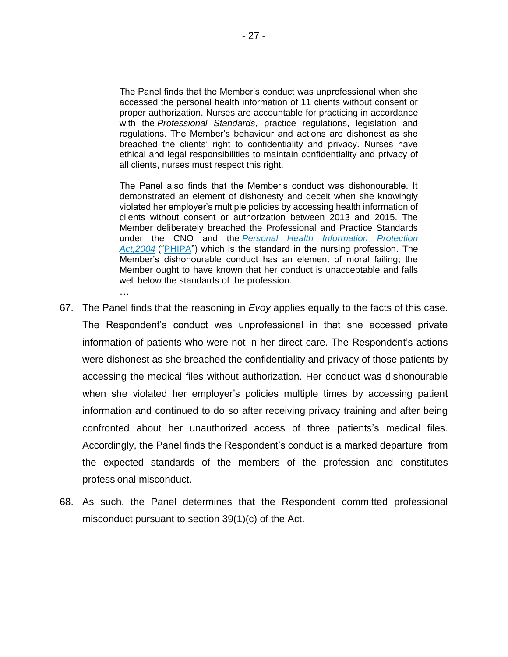The Panel finds that the Member's conduct was unprofessional when she accessed the personal health information of 11 clients without consent or proper authorization. Nurses are accountable for practicing in accordance with the *Professional Standards*, practice regulations, legislation and regulations. The Member's behaviour and actions are dishonest as she breached the clients' right to confidentiality and privacy. Nurses have ethical and legal responsibilities to maintain confidentiality and privacy of all clients, nurses must respect this right.

The Panel also finds that the Member's conduct was dishonourable. It demonstrated an element of dishonesty and deceit when she knowingly violated her employer's multiple policies by accessing health information of clients without consent or authorization between 2013 and 2015. The Member deliberately breached the Professional and Practice Standards under the CNO and the *Personal Health Information Protection Act,2004* ("PHIPA") which is the standard in the nursing profession. The Member's dishonourable conduct has an element of moral failing; the Member ought to have known that her conduct is unacceptable and falls well below the standards of the profession.

67. The Panel finds that the reasoning in *Evoy* applies equally to the facts of this case. The Respondent's conduct was unprofessional in that she accessed private information of patients who were not in her direct care. The Respondent's actions were dishonest as she breached the confidentiality and privacy of those patients by accessing the medical files without authorization. Her conduct was dishonourable when she violated her employer's policies multiple times by accessing patient information and continued to do so after receiving privacy training and after being confronted about her unauthorized access of three patients's medical files. Accordingly, the Panel finds the Respondent's conduct is a marked departure from the expected standards of the members of the profession and constitutes professional misconduct.

…

68. As such, the Panel determines that the Respondent committed professional misconduct pursuant to section 39(1)(c) of the Act.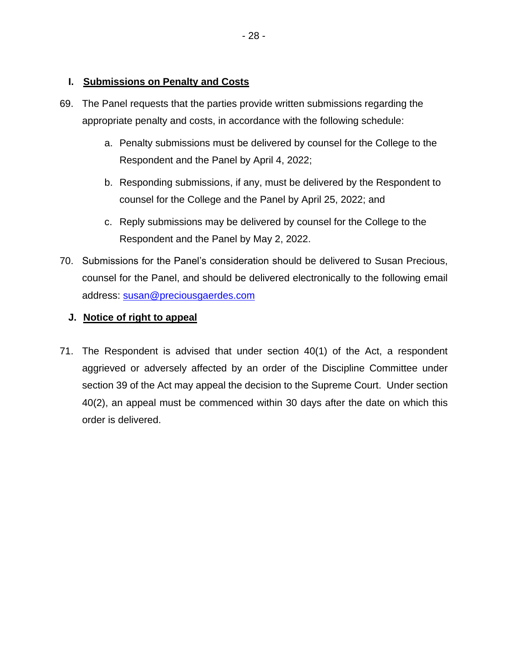# **I. Submissions on Penalty and Costs**

- 69. The Panel requests that the parties provide written submissions regarding the appropriate penalty and costs, in accordance with the following schedule:
	- a. Penalty submissions must be delivered by counsel for the College to the Respondent and the Panel by April 4, 2022;
	- b. Responding submissions, if any, must be delivered by the Respondent to counsel for the College and the Panel by April 25, 2022; and
	- c. Reply submissions may be delivered by counsel for the College to the Respondent and the Panel by May 2, 2022.
- 70. Submissions for the Panel's consideration should be delivered to Susan Precious, counsel for the Panel, and should be delivered electronically to the following email address: susan@preciousgaerdes.com

# **J. Notice of right to appeal**

71. The Respondent is advised that under section 40(1) of the Act, a respondent aggrieved or adversely affected by an order of the Discipline Committee under section 39 of the Act may appeal the decision to the Supreme Court. Under section 40(2), an appeal must be commenced within 30 days after the date on which this order is delivered.